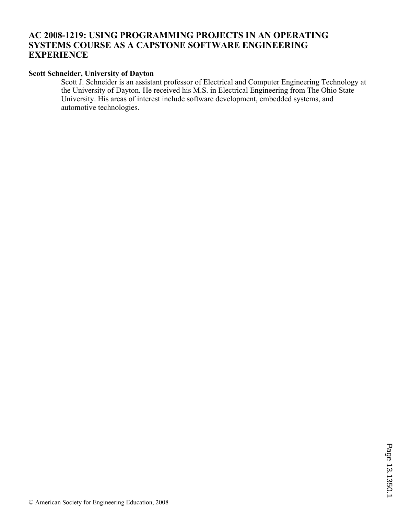# **AC 2008-1219: USING PROGRAMMING PROJECTS IN AN OPERATING SYSTEMS COURSE AS A CAPSTONE SOFTWARE ENGINEERING EXPERIENCE**

## **Scott Schneider, University of Dayton**

Scott J. Schneider is an assistant professor of Electrical and Computer Engineering Technology at the University of Dayton. He received his M.S. in Electrical Engineering from The Ohio State University. His areas of interest include software development, embedded systems, and automotive technologies.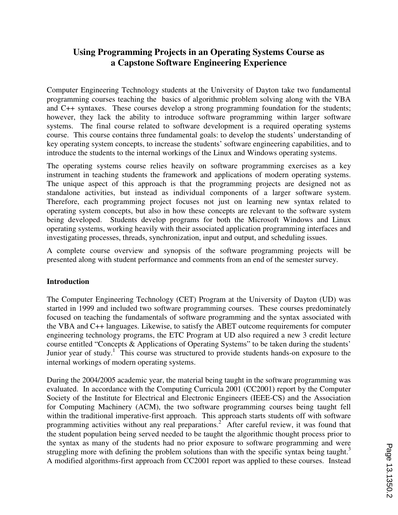# **Using Programming Projects in an Operating Systems Course as a Capstone Software Engineering Experience**

Computer Engineering Technology students at the University of Dayton take two fundamental programming courses teaching the basics of algorithmic problem solving along with the VBA and C++ syntaxes. These courses develop a strong programming foundation for the students; however, they lack the ability to introduce software programming within larger software systems. The final course related to software development is a required operating systems course. This course contains three fundamental goals: to develop the students' understanding of key operating system concepts, to increase the students' software engineering capabilities, and to introduce the students to the internal workings of the Linux and Windows operating systems.

The operating systems course relies heavily on software programming exercises as a key instrument in teaching students the framework and applications of modern operating systems. The unique aspect of this approach is that the programming projects are designed not as standalone activities, but instead as individual components of a larger software system. Therefore, each programming project focuses not just on learning new syntax related to operating system concepts, but also in how these concepts are relevant to the software system being developed. Students develop programs for both the Microsoft Windows and Linux operating systems, working heavily with their associated application programming interfaces and investigating processes, threads, synchronization, input and output, and scheduling issues.

A complete course overview and synopsis of the software programming projects will be presented along with student performance and comments from an end of the semester survey.

#### **Introduction**

The Computer Engineering Technology (CET) Program at the University of Dayton (UD) was started in 1999 and included two software programming courses. These courses predominately focused on teaching the fundamentals of software programming and the syntax associated with the VBA and C++ languages. Likewise, to satisfy the ABET outcome requirements for computer engineering technology programs, the ETC Program at UD also required a new 3 credit lecture course entitled "Concepts & Applications of Operating Systems" to be taken during the students' Junior year of study.<sup>1</sup> This course was structured to provide students hands-on exposure to the internal workings of modern operating systems.

During the 2004/2005 academic year, the material being taught in the software programming was evaluated. In accordance with the Computing Curricula 2001 (CC2001) report by the Computer Society of the Institute for Electrical and Electronic Engineers (IEEE-CS) and the Association for Computing Machinery (ACM), the two software programming courses being taught fell within the traditional imperative-first approach. This approach starts students off with software programming activities without any real preparations.<sup>2</sup> After careful review, it was found that the student population being served needed to be taught the algorithmic thought process prior to the syntax as many of the students had no prior exposure to software programming and were struggling more with defining the problem solutions than with the specific syntax being taught.<sup>3</sup> A modified algorithms-first approach from CC2001 report was applied to these courses. Instead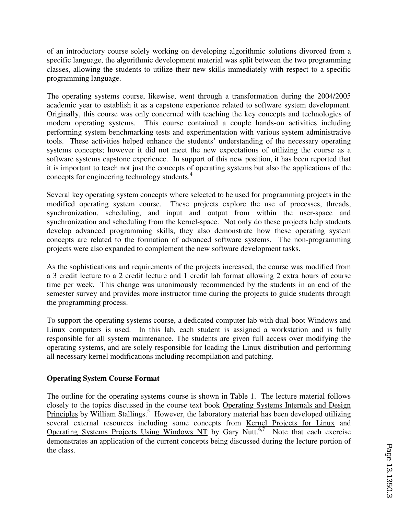of an introductory course solely working on developing algorithmic solutions divorced from a specific language, the algorithmic development material was split between the two programming classes, allowing the students to utilize their new skills immediately with respect to a specific programming language.

The operating systems course, likewise, went through a transformation during the 2004/2005 academic year to establish it as a capstone experience related to software system development. Originally, this course was only concerned with teaching the key concepts and technologies of modern operating systems. This course contained a couple hands-on activities including performing system benchmarking tests and experimentation with various system administrative tools. These activities helped enhance the students' understanding of the necessary operating systems concepts; however it did not meet the new expectations of utilizing the course as a software systems capstone experience. In support of this new position, it has been reported that it is important to teach not just the concepts of operating systems but also the applications of the concepts for engineering technology students.<sup>4</sup>

Several key operating system concepts where selected to be used for programming projects in the modified operating system course. These projects explore the use of processes, threads, synchronization, scheduling, and input and output from within the user-space and synchronization and scheduling from the kernel-space. Not only do these projects help students develop advanced programming skills, they also demonstrate how these operating system concepts are related to the formation of advanced software systems. The non-programming projects were also expanded to complement the new software development tasks.

As the sophistications and requirements of the projects increased, the course was modified from a 3 credit lecture to a 2 credit lecture and 1 credit lab format allowing 2 extra hours of course time per week. This change was unanimously recommended by the students in an end of the semester survey and provides more instructor time during the projects to guide students through the programming process.

To support the operating systems course, a dedicated computer lab with dual-boot Windows and Linux computers is used. In this lab, each student is assigned a workstation and is fully responsible for all system maintenance. The students are given full access over modifying the operating systems, and are solely responsible for loading the Linux distribution and performing all necessary kernel modifications including recompilation and patching.

## **Operating System Course Format**

The outline for the operating systems course is shown in Table 1. The lecture material follows closely to the topics discussed in the course text book Operating Systems Internals and Design Principles by William Stallings.<sup>5</sup> However, the laboratory material has been developed utilizing several external resources including some concepts from <u>Kernel Projects for Linux</u> and Operating Systems Projects Using Windows NT by Gary Nutt.<sup>6,7</sup> Note that each exercise demonstrates an application of the current concepts being discussed during the lecture portion of the class.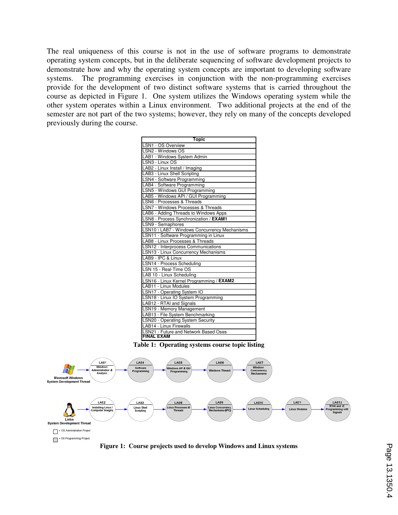The real uniqueness of this course is not in the use of software programs to demonstrate operating system concepts, but in the deliberate sequencing of software development projects to demonstrate how and why the operating system concepts are important to developing software systems. The programming exercises in conjunction with the non-programming exercises provide for the development of two distinct software systems that is carried throughout the course as depicted in Figure 1. One system utilizes the Windows operating system while the other system operates within a Linux environment. Two additional projects at the end of the semester are not part of the two systems; however, they rely on many of the concepts developed previously during the course.



**Table 1: Operating systems course topic listing** 



**Figure 1: Course projects used to develop Windows and Linux systems**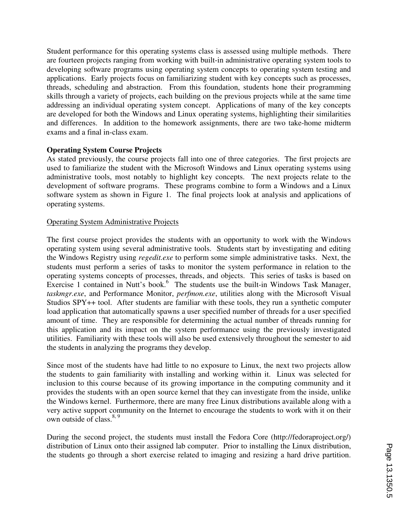Student performance for this operating systems class is assessed using multiple methods. There are fourteen projects ranging from working with built-in administrative operating system tools to developing software programs using operating system concepts to operating system testing and applications. Early projects focus on familiarizing student with key concepts such as processes, threads, scheduling and abstraction. From this foundation, students hone their programming skills through a variety of projects, each building on the previous projects while at the same time addressing an individual operating system concept. Applications of many of the key concepts are developed for both the Windows and Linux operating systems, highlighting their similarities and differences. In addition to the homework assignments, there are two take-home midterm exams and a final in-class exam.

## **Operating System Course Projects**

As stated previously, the course projects fall into one of three categories. The first projects are used to familiarize the student with the Microsoft Windows and Linux operating systems using administrative tools, most notably to highlight key concepts. The next projects relate to the development of software programs. These programs combine to form a Windows and a Linux software system as shown in Figure 1. The final projects look at analysis and applications of operating systems.

## Operating System Administrative Projects

The first course project provides the students with an opportunity to work with the Windows operating system using several administrative tools. Students start by investigating and editing the Windows Registry using *regedit.exe* to perform some simple administrative tasks. Next, the students must perform a series of tasks to monitor the system performance in relation to the operating systems concepts of processes, threads, and objects. This series of tasks is based on Exercise 1 contained in Nutt's book.<sup>6</sup> The students use the built-in Windows Task Manager, *taskmgr.exe*, and Performance Monitor, *perfmon.exe*, utilities along with the Microsoft Visual Studios SPY++ tool. After students are familiar with these tools, they run a synthetic computer load application that automatically spawns a user specified number of threads for a user specified amount of time. They are responsible for determining the actual number of threads running for this application and its impact on the system performance using the previously investigated utilities. Familiarity with these tools will also be used extensively throughout the semester to aid the students in analyzing the programs they develop.

Since most of the students have had little to no exposure to Linux, the next two projects allow the students to gain familiarity with installing and working within it. Linux was selected for inclusion to this course because of its growing importance in the computing community and it provides the students with an open source kernel that they can investigate from the inside, unlike the Windows kernel. Furthermore, there are many free Linux distributions available along with a very active support community on the Internet to encourage the students to work with it on their own outside of class. $8, 9$ 

During the second project, the students must install the Fedora Core (http://fedoraproject.org/) distribution of Linux onto their assigned lab computer. Prior to installing the Linux distribution, the students go through a short exercise related to imaging and resizing a hard drive partition.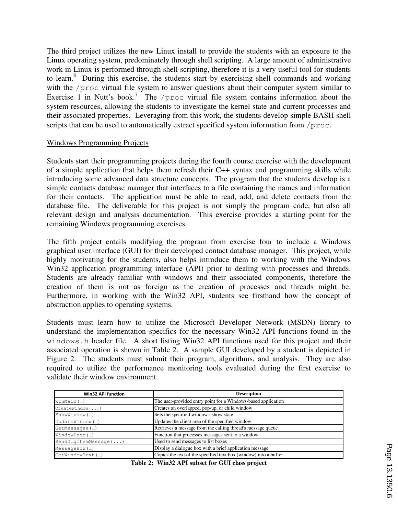The third project utilizes the new Linux install to provide the students with an exposure to the Linux operating system, predominately through shell scripting. A large amount of administrative work in Linux is performed through shell scripting, therefore it is a very useful tool for students to learn.<sup>8</sup> During this exercise, the students start by exercising shell commands and working with the /proc virtual file system to answer questions about their computer system similar to Exercise 1 in Nutt's book.<sup>7</sup> The /proc virtual file system contains information about the system resources, allowing the students to investigate the kernel state and current processes and their associated properties. Leveraging from this work, the students develop simple BASH shell scripts that can be used to automatically extract specified system information from /proc.

#### Windows Programming Projects

Students start their programming projects during the fourth course exercise with the development of a simple application that helps them refresh their C++ syntax and programming skills while introducing some advanced data structure concepts. The program that the students develop is a simple contacts database manager that interfaces to a file containing the names and information for their contacts. The application must be able to read, add, and delete contacts from the database file. The deliverable for this project is not simply the program code, but also all relevant design and analysis documentation. This exercise provides a starting point for the remaining Windows programming exercises.

The fifth project entails modifying the program from exercise four to include a Windows graphical user interface (GUI) for their developed contact database manager. This project, while highly motivating for the students, also helps introduce them to working with the Windows Win32 application programming interface (API) prior to dealing with processes and threads. Students are already familiar with windows and their associated components, therefore the creation of them is not as foreign as the creation of processes and threads might be. Furthermore, in working with the Win32 API, students see firsthand how the concept of abstraction applies to operating systems.

Students must learn how to utilize the Microsoft Developer Network (MSDN) library to understand the implementation specifics for the necessary Win32 API functions found in the windows.h header file. A short listing Win32 API functions used for this project and their associated operation is shown in Table 2. A sample GUI developed by a student is depicted in Figure 2. The students must submit their program, algorithms, and analysis. They are also required to utilize the performance monitoring tools evaluated during the first exercise to validate their window environment.

| <b>Win32 API function</b> | <b>Description</b>                                               |
|---------------------------|------------------------------------------------------------------|
| WinMain()                 | The user-provided entry point for a Windows-based application    |
| CreateWindow ()           | Creates an overlapped, pop-up, or child window                   |
| ShowWindow()              | Sets the specified window's show state                           |
| UpdateWindow()            | Updates the client area of the specified window                  |
| GetMessaqae()             | Retrieves a message from the calling thread's message queue      |
| WindowProc()              | Function that processes messages sent to a window                |
| $SendDlgItemMessage$ $()$ | Used to send messages to list boxes                              |
| MessageBox()              | Display a dialogue box with a brief application message          |
| GetWindowText()           | Copies the text of the specified text box (window) into a buffer |

**Table 2: Win32 API subset for GUI class project**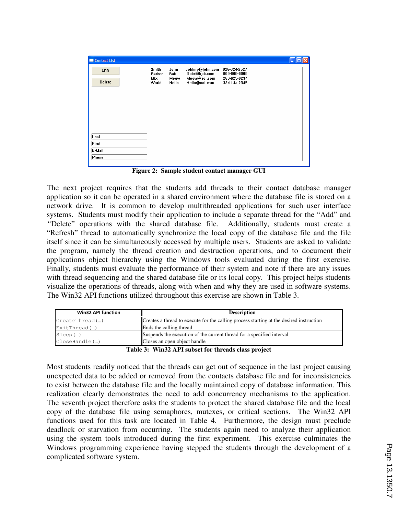| Contact List                |                                 |                                     |                                                                  | $\overline{\phantom{a}}$                                     |  |
|-----------------------------|---------------------------------|-------------------------------------|------------------------------------------------------------------|--------------------------------------------------------------|--|
| <b>ADD</b><br><b>Delete</b> | Smith<br>Barker<br>Mix<br>World | John<br><b>Bob</b><br>Meow<br>Hello | Johhny@john.com<br>Bobr@bob.com<br>Meow@aol.com<br>Hello@aol.com | 625-624-2527<br>808-808-8008<br>253-623-6234<br>324-134-2345 |  |
| Last                        |                                 |                                     |                                                                  |                                                              |  |
| First<br>E-Mail<br>Phone    |                                 |                                     |                                                                  |                                                              |  |

**Figure 2: Sample student contact manager GUI** 

The next project requires that the students add threads to their contact database manager application so it can be operated in a shared environment where the database file is stored on a network drive. It is common to develop multithreaded applications for such user interface systems. Students must modify their application to include a separate thread for the "Add" and *"*Delete" operations with the shared database file. Additionally, students must create a "Refresh" thread to automatically synchronize the local copy of the database file and the file itself since it can be simultaneously accessed by multiple users. Students are asked to validate the program, namely the thread creation and destruction operations, and to document their applications object hierarchy using the Windows tools evaluated during the first exercise. Finally, students must evaluate the performance of their system and note if there are any issues with thread sequencing and the shared database file or its local copy. This project helps students visualize the operations of threads, along with when and why they are used in software systems. The Win32 API functions utilized throughout this exercise are shown in Table 3.

| <b>Win32 API function</b> | <b>Description</b>                                                                      |
|---------------------------|-----------------------------------------------------------------------------------------|
| $CreateThread(\ldots)$    | Creates a thread to execute for the calling process starting at the desired instruction |
| $ExitThread$ ()           | Ends the calling thread                                                                 |
| Sleep()                   | Suspends the execution of the current thread for a specified interval                   |
| CloseHandle()             | Closes an open object handle                                                            |

**Table 3: Win32 API subset for threads class project**

Most students readily noticed that the threads can get out of sequence in the last project causing unexpected data to be added or removed from the contacts database file and for inconsistencies to exist between the database file and the locally maintained copy of database information. This realization clearly demonstrates the need to add concurrency mechanisms to the application. The seventh project therefore asks the students to protect the shared database file and the local copy of the database file using semaphores, mutexes, or critical sections. The Win32 API functions used for this task are located in Table 4. Furthermore, the design must preclude deadlock or starvation from occurring. The students again need to analyze their application using the system tools introduced during the first experiment. This exercise culminates the Windows programming experience having stepped the students through the development of a complicated software system.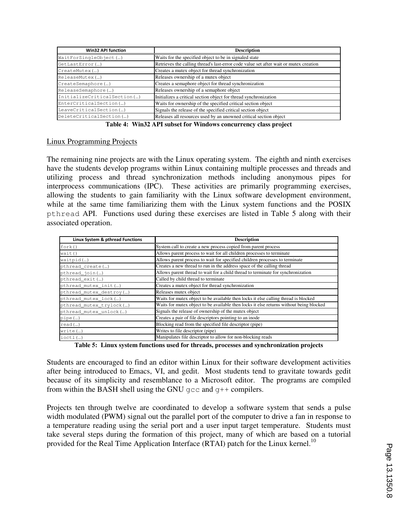| <b>Win32 API function</b>   | <b>Description</b>                                                                    |
|-----------------------------|---------------------------------------------------------------------------------------|
| WaitForSingleObject()       | Waits for the specified object to be in signaled state                                |
| GetLastError()              | Retrieves the calling thread's last-error code value set after wait or mutex creation |
| CreateMutex()               | Creates a mutex object for thread synchronization                                     |
| ReleaseMutex()              | Releases ownership of a mutex object                                                  |
| CreateSemaphore()           | Creates a semaphore object for thread synchronization                                 |
| ReleaseSemaphore()          | Releases ownership of a semaphore object                                              |
| InitializeCriticalSection() | Initializes a critical section object for thread synchronization                      |
| EnterCriticalSection()      | Waits for ownership of the specified critical section object                          |
| LeaveCriticalSection()      | Signals the release of the specified critical section object                          |
| DeleteCriticalSection()     | Releases all resources used by an unowned critical section object                     |

**Table 4: Win32 API subset for Windows concurrency class project** 

## Linux Programming Projects

The remaining nine projects are with the Linux operating system. The eighth and ninth exercises have the students develop programs within Linux containing multiple processes and threads and utilizing process and thread synchronization methods including anonymous pipes for interprocess communications (IPC). These activities are primarily programming exercises, allowing the students to gain familiarity with the Linux software development environment, while at the same time familiarizing them with the Linux system functions and the POSIX pthread API. Functions used during these exercises are listed in Table 5 along with their associated operation.

| Linux System & pthread Functions | <b>Description</b>                                                                      |
|----------------------------------|-----------------------------------------------------------------------------------------|
| fork()                           | System call to create a new process copied from parent process                          |
| wait ()                          | Allows parent process to wait for all children processes to terminate                   |
| waitpid()                        | Allows parent process to wait for specified children processes to terminate             |
| pthread_create()                 | Creates a new thread to run in the address space of the calling thread                  |
| pthread_join()                   | Allows parent thread to wait for a child thread to terminate for synchronization        |
| pthread_exit()                   | Called by child thread to terminate                                                     |
| pthread_mutex_init()             | Creates a mutex object for thread synchronization                                       |
| pthread_mutex_destroy()          | Releases mutex object                                                                   |
| pthread_mutex_lock()             | Waits for mutex object to be available then locks it else calling thread is blocked     |
| pthread_mutex_trylock()          | Waits for mutex object to be available then locks it else returns without being blocked |
| pthread_mutex_unlock()           | Signals the release of ownership of the mutex object                                    |
| pipe()                           | Creates a pair of file descriptors pointing to an inode                                 |
| read()                           | Blocking read from the specified file descriptor (pipe)                                 |
| write()                          | Writes to file descriptor (pipe)                                                        |
| $i$ octl $(\ldots)$              | Manipulates file descriptor to allow for non-blocking reads                             |

**Table 5: Linux system functions used for threads, processes and synchronization projects** 

Students are encouraged to find an editor within Linux for their software development activities after being introduced to Emacs, VI, and gedit. Most students tend to gravitate towards gedit because of its simplicity and resemblance to a Microsoft editor. The programs are compiled from within the BASH shell using the GNU  $qcc$  and  $q++$  compilers.

Projects ten through twelve are coordinated to develop a software system that sends a pulse width modulated (PWM) signal out the parallel port of the computer to drive a fan in response to a temperature reading using the serial port and a user input target temperature. Students must take several steps during the formation of this project, many of which are based on a tutorial provided for the Real Time Application Interface (RTAI) patch for the Linux kernel.<sup>10</sup>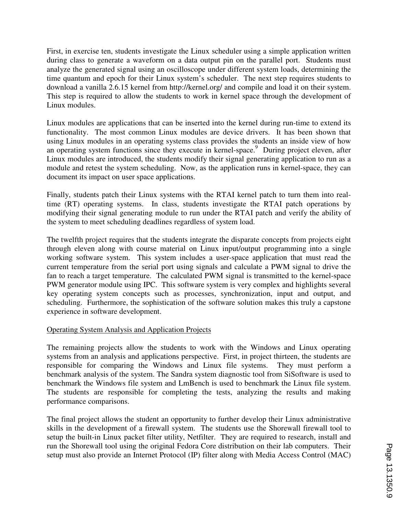First, in exercise ten, students investigate the Linux scheduler using a simple application written during class to generate a waveform on a data output pin on the parallel port. Students must analyze the generated signal using an oscilloscope under different system loads, determining the time quantum and epoch for their Linux system's scheduler. The next step requires students to download a vanilla 2.6.15 kernel from http://kernel.org/ and compile and load it on their system. This step is required to allow the students to work in kernel space through the development of Linux modules.

Linux modules are applications that can be inserted into the kernel during run-time to extend its functionality. The most common Linux modules are device drivers. It has been shown that using Linux modules in an operating systems class provides the students an inside view of how an operating system functions since they execute in kernel-space. 9 During project eleven, after Linux modules are introduced, the students modify their signal generating application to run as a module and retest the system scheduling. Now, as the application runs in kernel-space, they can document its impact on user space applications.

Finally, students patch their Linux systems with the RTAI kernel patch to turn them into realtime (RT) operating systems. In class, students investigate the RTAI patch operations by modifying their signal generating module to run under the RTAI patch and verify the ability of the system to meet scheduling deadlines regardless of system load.

The twelfth project requires that the students integrate the disparate concepts from projects eight through eleven along with course material on Linux input/output programming into a single working software system. This system includes a user-space application that must read the current temperature from the serial port using signals and calculate a PWM signal to drive the fan to reach a target temperature. The calculated PWM signal is transmitted to the kernel-space PWM generator module using IPC. This software system is very complex and highlights several key operating system concepts such as processes, synchronization, input and output, and scheduling. Furthermore, the sophistication of the software solution makes this truly a capstone experience in software development.

## Operating System Analysis and Application Projects

The remaining projects allow the students to work with the Windows and Linux operating systems from an analysis and applications perspective. First, in project thirteen, the students are responsible for comparing the Windows and Linux file systems. They must perform a benchmark analysis of the system. The Sandra system diagnostic tool from SiSoftware is used to benchmark the Windows file system and LmBench is used to benchmark the Linux file system. The students are responsible for completing the tests, analyzing the results and making performance comparisons.

The final project allows the student an opportunity to further develop their Linux administrative skills in the development of a firewall system. The students use the Shorewall firewall tool to setup the built-in Linux packet filter utility, Netfilter. They are required to research, install and run the Shorewall tool using the original Fedora Core distribution on their lab computers. Their setup must also provide an Internet Protocol (IP) filter along with Media Access Control (MAC)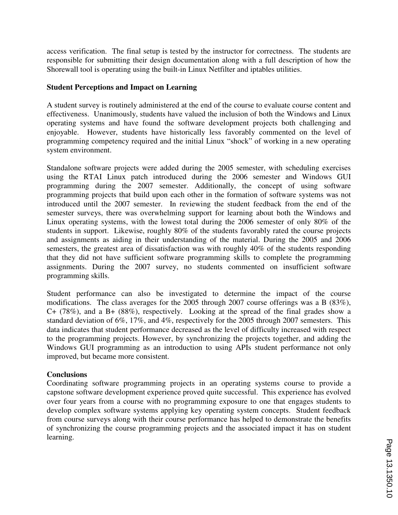access verification. The final setup is tested by the instructor for correctness. The students are responsible for submitting their design documentation along with a full description of how the Shorewall tool is operating using the built-in Linux Netfilter and iptables utilities.

#### **Student Perceptions and Impact on Learning**

A student survey is routinely administered at the end of the course to evaluate course content and effectiveness. Unanimously, students have valued the inclusion of both the Windows and Linux operating systems and have found the software development projects both challenging and enjoyable. However, students have historically less favorably commented on the level of programming competency required and the initial Linux "shock" of working in a new operating system environment.

Standalone software projects were added during the 2005 semester, with scheduling exercises using the RTAI Linux patch introduced during the 2006 semester and Windows GUI programming during the 2007 semester. Additionally, the concept of using software programming projects that build upon each other in the formation of software systems was not introduced until the 2007 semester. In reviewing the student feedback from the end of the semester surveys, there was overwhelming support for learning about both the Windows and Linux operating systems, with the lowest total during the 2006 semester of only 80% of the students in support. Likewise, roughly 80% of the students favorably rated the course projects and assignments as aiding in their understanding of the material. During the 2005 and 2006 semesters, the greatest area of dissatisfaction was with roughly 40% of the students responding that they did not have sufficient software programming skills to complete the programming assignments. During the 2007 survey, no students commented on insufficient software programming skills.

Student performance can also be investigated to determine the impact of the course modifications. The class averages for the 2005 through 2007 course offerings was a B (83%), C+ (78%), and a B+ (88%), respectively. Looking at the spread of the final grades show a standard deviation of 6%, 17%, and 4%, respectively for the 2005 through 2007 semesters. This data indicates that student performance decreased as the level of difficulty increased with respect to the programming projects. However, by synchronizing the projects together, and adding the Windows GUI programming as an introduction to using APIs student performance not only improved, but became more consistent.

## **Conclusions**

Coordinating software programming projects in an operating systems course to provide a capstone software development experience proved quite successful. This experience has evolved over four years from a course with no programming exposure to one that engages students to develop complex software systems applying key operating system concepts. Student feedback from course surveys along with their course performance has helped to demonstrate the benefits of synchronizing the course programming projects and the associated impact it has on student learning.